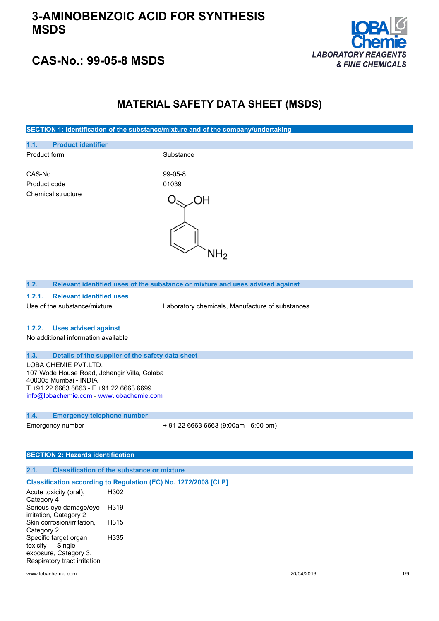

## **CAS-No.: 99-05-8 MSDS**

## **MATERIAL SAFETY DATA SHEET (MSDS)**

**SECTION 1: Identification of the substance/mixture and of the company/undertaking**



**1.2. Relevant identified uses of the substance or mixture and uses advised against**

### **1.2.1. Relevant identified uses**

Use of the substance/mixture : Laboratory chemicals, Manufacture of substances

#### **1.2.2. Uses advised against**

No additional information available

### **1.3. Details of the supplier of the safety data sheet**

LOBA CHEMIE PVT.LTD. 107 Wode House Road, Jehangir Villa, Colaba 400005 Mumbai - INDIA T +91 22 6663 6663 - F +91 22 6663 6699 [info@lobachemie.com](mailto:info@lobachemie.com) - <www.lobachemie.com>

#### **1.4. Emergency telephone number**

Emergency number : + 91 22 6663 6663 (9:00am - 6:00 pm)

### **SECTION 2: Hazards identification**

#### **2.1. Classification of the substance or mixture**

#### **Classification according to Regulation (EC) No. 1272/2008 [CLP]**

| Acute toxicity (oral),       | H302 |
|------------------------------|------|
| Category 4                   |      |
| Serious eye damage/eye       | H319 |
| irritation, Category 2       |      |
| Skin corrosion/irritation,   | H315 |
| Category 2                   |      |
| Specific target organ        | H335 |
| toxicity — Single            |      |
| exposure, Category 3,        |      |
| Respiratory tract irritation |      |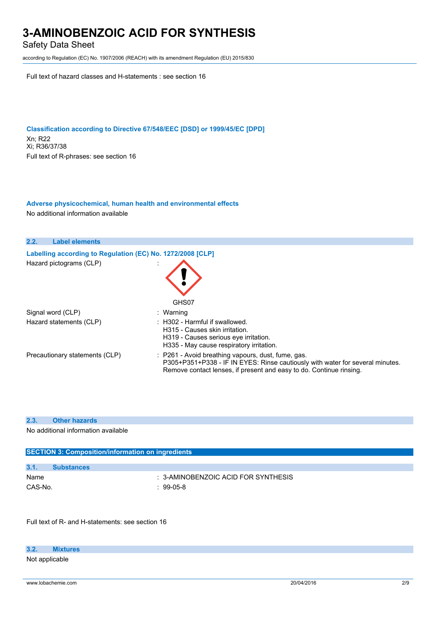Safety Data Sheet

according to Regulation (EC) No. 1907/2006 (REACH) with its amendment Regulation (EU) 2015/830

Full text of hazard classes and H-statements : see section 16

**Classification according to Directive 67/548/EEC [DSD] or 1999/45/EC [DPD]** Xn; R22 Xi; R36/37/38 Full text of R-phrases: see section 16

**Adverse physicochemical, human health and environmental effects** No additional information available

| 2.2. | <b>Label elements</b>                                      |                                                                                                                                                                                                            |
|------|------------------------------------------------------------|------------------------------------------------------------------------------------------------------------------------------------------------------------------------------------------------------------|
|      | Labelling according to Regulation (EC) No. 1272/2008 [CLP] |                                                                                                                                                                                                            |
|      | Hazard pictograms (CLP)                                    | GHS07                                                                                                                                                                                                      |
|      | Signal word (CLP)                                          | : Warning                                                                                                                                                                                                  |
|      | Hazard statements (CLP)                                    | $\therefore$ H302 - Harmful if swallowed.<br>H315 - Causes skin irritation.<br>H319 - Causes serious eye irritation.<br>H335 - May cause respiratory irritation.                                           |
|      | Precautionary statements (CLP)                             | : P261 - Avoid breathing vapours, dust, fume, gas.<br>P305+P351+P338 - IF IN EYES: Rinse cautiously with water for several minutes.<br>Remove contact lenses, if present and easy to do. Continue rinsing. |

#### **2.3. Other hazards**

No additional information available

| <b>SECTION 3: Composition/information on ingredients</b> |                   |                                         |
|----------------------------------------------------------|-------------------|-----------------------------------------|
|                                                          |                   |                                         |
| 3.1.                                                     | <b>Substances</b> |                                         |
| Name                                                     |                   | $\pm$ 3-AMINOBENZOIC ACID FOR SYNTHESIS |
| CAS-No.                                                  |                   | : 99-05-8                               |
|                                                          |                   |                                         |

Full text of R- and H-statements: see section 16

Not applicable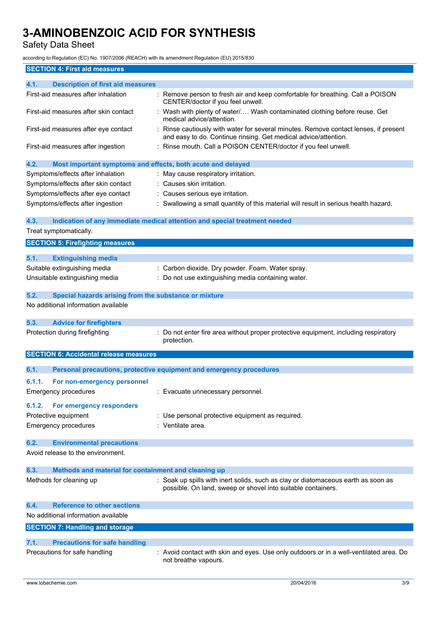Safety Data Sheet

| <b>SECTION 4: First aid measures</b>                                |                                                                                                                                                       |
|---------------------------------------------------------------------|-------------------------------------------------------------------------------------------------------------------------------------------------------|
| 4.1.<br><b>Description of first aid measures</b>                    |                                                                                                                                                       |
| First-aid measures after inhalation                                 | : Remove person to fresh air and keep comfortable for breathing. Call a POISON<br>CENTER/doctor if you feel unwell.                                   |
| First-aid measures after skin contact                               | : Wash with plenty of water/ Wash contaminated clothing before reuse. Get<br>medical advice/attention.                                                |
| First-aid measures after eye contact                                | Rinse cautiously with water for several minutes. Remove contact lenses, if present<br>and easy to do. Continue rinsing. Get medical advice/attention. |
| First-aid measures after ingestion                                  | : Rinse mouth. Call a POISON CENTER/doctor if you feel unwell.                                                                                        |
| 4.2.<br>Most important symptoms and effects, both acute and delayed |                                                                                                                                                       |
| Symptoms/effects after inhalation                                   | : May cause respiratory irritation.                                                                                                                   |
| Symptoms/effects after skin contact                                 | : Causes skin irritation.                                                                                                                             |
| Symptoms/effects after eye contact                                  | : Causes serious eye irritation.                                                                                                                      |
| Symptoms/effects after ingestion                                    | : Swallowing a small quantity of this material will result in serious health hazard.                                                                  |
| 4.3.                                                                | Indication of any immediate medical attention and special treatment needed                                                                            |
| Treat symptomatically.                                              |                                                                                                                                                       |
| <b>SECTION 5: Firefighting measures</b>                             |                                                                                                                                                       |
| 5.1.<br><b>Extinguishing media</b>                                  |                                                                                                                                                       |
| Suitable extinguishing media                                        | : Carbon dioxide. Dry powder. Foam. Water spray.                                                                                                      |
| Unsuitable extinguishing media                                      | : Do not use extinguishing media containing water.                                                                                                    |
|                                                                     |                                                                                                                                                       |
| 5.2.<br>Special hazards arising from the substance or mixture       |                                                                                                                                                       |
| No additional information available                                 |                                                                                                                                                       |
| 5.3.<br><b>Advice for firefighters</b>                              |                                                                                                                                                       |
| Protection during firefighting                                      | : Do not enter fire area without proper protective equipment, including respiratory                                                                   |
|                                                                     | protection.                                                                                                                                           |
| <b>SECTION 6: Accidental release measures</b>                       |                                                                                                                                                       |
| 6.1.                                                                | Personal precautions, protective equipment and emergency procedures                                                                                   |
| 6.1.1.<br>For non-emergency personnel                               |                                                                                                                                                       |
| <b>Emergency procedures</b>                                         | Evacuate unnecessary personnel.                                                                                                                       |
|                                                                     |                                                                                                                                                       |
| 6.1.2.<br><b>For emergency responders</b>                           |                                                                                                                                                       |
| Protective equipment                                                | : Use personal protective equipment as required.                                                                                                      |
| <b>Emergency procedures</b>                                         | : Ventilate area.                                                                                                                                     |
| 6.2.<br><b>Environmental precautions</b>                            |                                                                                                                                                       |
| Avoid release to the environment.                                   |                                                                                                                                                       |
| 6.3.<br>Methods and material for containment and cleaning up        |                                                                                                                                                       |
| Methods for cleaning up                                             | : Soak up spills with inert solids, such as clay or diatomaceous earth as soon as                                                                     |
|                                                                     | possible. On land, sweep or shovel into suitable containers.                                                                                          |
| <b>Reference to other sections</b><br>6.4.                          |                                                                                                                                                       |
| No additional information available                                 |                                                                                                                                                       |
| <b>SECTION 7: Handling and storage</b>                              |                                                                                                                                                       |
| 7.1.<br><b>Precautions for safe handling</b>                        |                                                                                                                                                       |
| Precautions for safe handling                                       | : Avoid contact with skin and eyes. Use only outdoors or in a well-ventilated area. Do                                                                |
|                                                                     | not breathe vapours.                                                                                                                                  |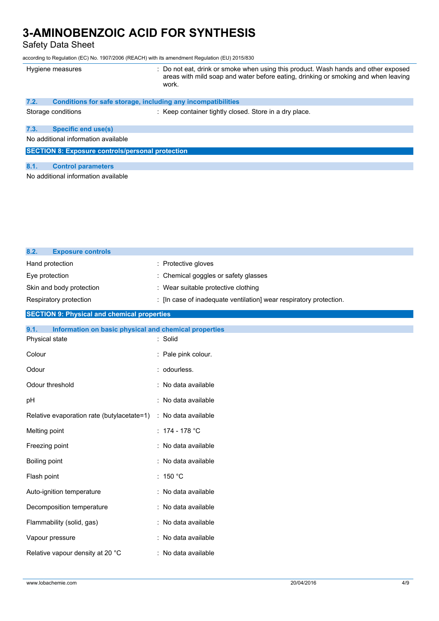Safety Data Sheet

| Hygiene measures   |                                                                     | : Do not eat, drink or smoke when using this product. Wash hands and other exposed<br>areas with mild soap and water before eating, drinking or smoking and when leaving<br>work. |
|--------------------|---------------------------------------------------------------------|-----------------------------------------------------------------------------------------------------------------------------------------------------------------------------------|
| 7.2.               | <b>Conditions for safe storage, including any incompatibilities</b> |                                                                                                                                                                                   |
| Storage conditions |                                                                     | : Keep container tightly closed. Store in a dry place.                                                                                                                            |
| 7.3.               | <b>Specific end use(s)</b>                                          |                                                                                                                                                                                   |
|                    | No additional information available                                 |                                                                                                                                                                                   |
|                    | <b>SECTION 8: Exposure controls/personal protection</b>             |                                                                                                                                                                                   |
| 8.1.               | <b>Control parameters</b>                                           |                                                                                                                                                                                   |
|                    | No additional information available                                 |                                                                                                                                                                                   |

| 8.2.<br><b>Exposure controls</b>                              |                                                                    |
|---------------------------------------------------------------|--------------------------------------------------------------------|
| Hand protection                                               | : Protective gloves                                                |
| Eye protection                                                | Chemical goggles or safety glasses                                 |
| Skin and body protection                                      | : Wear suitable protective clothing                                |
| Respiratory protection                                        | : [In case of inadequate ventilation] wear respiratory protection. |
| <b>SECTION 9: Physical and chemical properties</b>            |                                                                    |
| 9.1.<br>Information on basic physical and chemical properties |                                                                    |
| Physical state                                                | : Solid                                                            |
| Colour                                                        | : Pale pink colour.                                                |
| Odour                                                         | : odourless.                                                       |
| Odour threshold                                               | No data available                                                  |
| pH                                                            | : No data available                                                |
| Relative evaporation rate (butylacetate=1)                    | : No data available                                                |
| Melting point                                                 | : $174 - 178$ °C                                                   |
| Freezing point                                                | : No data available                                                |
| Boiling point                                                 | : No data available                                                |
| Flash point                                                   | : 150 °C                                                           |
| Auto-ignition temperature                                     | : No data available                                                |
| Decomposition temperature                                     | : No data available                                                |
| Flammability (solid, gas)                                     | : No data available                                                |
| Vapour pressure                                               | : No data available                                                |
| Relative vapour density at 20 °C                              | : No data available                                                |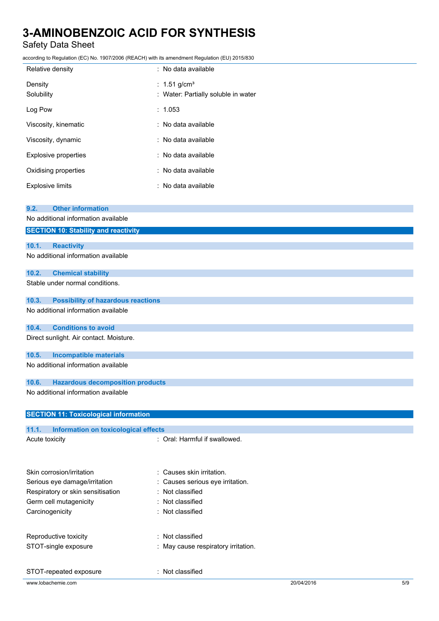## Safety Data Sheet

| Relative density            | : No data available                                             |
|-----------------------------|-----------------------------------------------------------------|
| Density<br>Solubility       | : 1.51 g/cm <sup>3</sup><br>: Water: Partially soluble in water |
| Log Pow                     | : 1.053                                                         |
| Viscosity, kinematic        | : No data available                                             |
| Viscosity, dynamic          | : No data available                                             |
| <b>Explosive properties</b> | : No data available                                             |
| Oxidising properties        | : No data available                                             |
| <b>Explosive limits</b>     | : No data available                                             |

| 9.2.           | <b>Other information</b>                     |                               |
|----------------|----------------------------------------------|-------------------------------|
|                | No additional information available          |                               |
|                | <b>SECTION 10: Stability and reactivity</b>  |                               |
|                |                                              |                               |
| 10.1.          | <b>Reactivity</b>                            |                               |
|                | No additional information available          |                               |
| 10.2.          | <b>Chemical stability</b>                    |                               |
|                | Stable under normal conditions.              |                               |
| 10.3.          | <b>Possibility of hazardous reactions</b>    |                               |
|                | No additional information available          |                               |
| 10.4.          | <b>Conditions to avoid</b>                   |                               |
|                | Direct sunlight. Air contact. Moisture.      |                               |
| 10.5.          | <b>Incompatible materials</b>                |                               |
|                | No additional information available          |                               |
| 10.6.          | <b>Hazardous decomposition products</b>      |                               |
|                | No additional information available          |                               |
|                | <b>SECTION 11: Toxicological information</b> |                               |
|                |                                              |                               |
| 11.1.          | Information on toxicological effects         |                               |
| Acute toxicity |                                              | : Oral: Harmful if swallowed. |

| Skin corrosion/irritation         | : Causes skin irritation.           |            |     |
|-----------------------------------|-------------------------------------|------------|-----|
| Serious eye damage/irritation     | : Causes serious eye irritation.    |            |     |
| Respiratory or skin sensitisation | : Not classified                    |            |     |
| Germ cell mutagenicity            | $:$ Not classified                  |            |     |
| Carcinogenicity                   | : Not classified                    |            |     |
| Reproductive toxicity             | : Not classified                    |            |     |
| STOT-single exposure              | : May cause respiratory irritation. |            |     |
| STOT-repeated exposure            | : Not classified                    |            |     |
| www.lobachemie.com                |                                     | 20/04/2016 | 5/9 |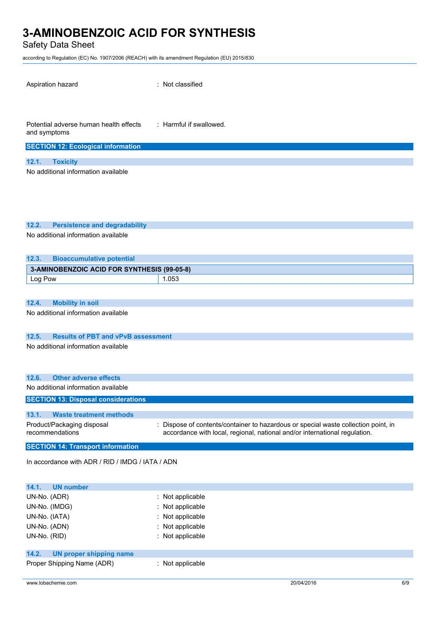Safety Data Sheet

| Aspiration hazard                                                                        | : Not classified                                                                                                                                                 |
|------------------------------------------------------------------------------------------|------------------------------------------------------------------------------------------------------------------------------------------------------------------|
| Potential adverse human health effects<br>and symptoms                                   | $\therefore$ Harmful if swallowed.                                                                                                                               |
| <b>SECTION 12: Ecological information</b>                                                |                                                                                                                                                                  |
| 12.1.<br><b>Toxicity</b>                                                                 |                                                                                                                                                                  |
| No additional information available                                                      |                                                                                                                                                                  |
| 12.2.<br><b>Persistence and degradability</b><br>No additional information available     |                                                                                                                                                                  |
| 12.3.<br><b>Bioaccumulative potential</b>                                                |                                                                                                                                                                  |
| 3-AMINOBENZOIC ACID FOR SYNTHESIS (99-05-8)                                              |                                                                                                                                                                  |
| Log Pow                                                                                  | 1.053                                                                                                                                                            |
|                                                                                          |                                                                                                                                                                  |
| 12.4.<br><b>Mobility in soil</b>                                                         |                                                                                                                                                                  |
| No additional information available                                                      |                                                                                                                                                                  |
| 12.5.<br><b>Results of PBT and vPvB assessment</b>                                       |                                                                                                                                                                  |
| No additional information available                                                      |                                                                                                                                                                  |
| 12.6.<br><b>Other adverse effects</b>                                                    |                                                                                                                                                                  |
| No additional information available                                                      |                                                                                                                                                                  |
| <b>SECTION 13: Disposal considerations</b>                                               |                                                                                                                                                                  |
|                                                                                          |                                                                                                                                                                  |
| 13.1.<br><b>Waste treatment methods</b><br>Product/Packaging disposal<br>recommendations | : Dispose of contents/container to hazardous or special waste collection point, in<br>accordance with local, regional, national and/or international regulation. |
| <b>SECTION 14: Transport information</b>                                                 |                                                                                                                                                                  |
| In accordance with ADR / RID / IMDG / IATA / ADN                                         |                                                                                                                                                                  |
| 14.1.<br><b>UN number</b>                                                                |                                                                                                                                                                  |
| UN-No. (ADR)                                                                             | : Not applicable                                                                                                                                                 |
| UN-No. (IMDG)                                                                            | : Not applicable                                                                                                                                                 |
| UN-No. (IATA)                                                                            | Not applicable                                                                                                                                                   |
| UN-No. (ADN)                                                                             | : Not applicable                                                                                                                                                 |
| UN-No. (RID)                                                                             | : Not applicable                                                                                                                                                 |
| 14.2.<br><b>UN proper shipping name</b>                                                  |                                                                                                                                                                  |
| Proper Shipping Name (ADR)                                                               | : Not applicable                                                                                                                                                 |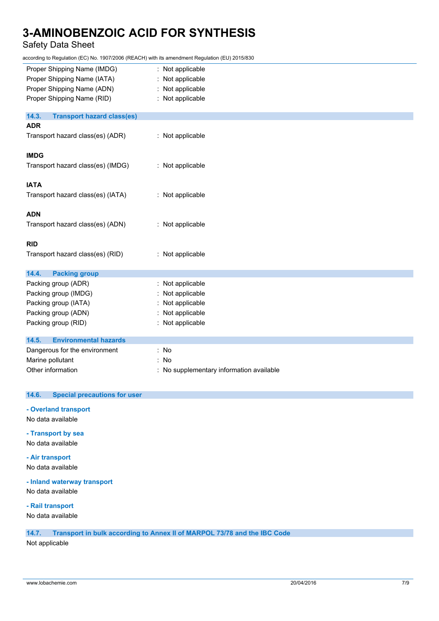## Safety Data Sheet

according to Regulation (EC) No. 1907/2006 (REACH) with its amendment Regulation (EU) 2015/830

| Proper Shipping Name (IMDG)                | : Not applicable                         |
|--------------------------------------------|------------------------------------------|
| Proper Shipping Name (IATA)                | Not applicable                           |
| Proper Shipping Name (ADN)                 | Not applicable                           |
| Proper Shipping Name (RID)                 | : Not applicable                         |
| 14.3.<br><b>Transport hazard class(es)</b> |                                          |
| <b>ADR</b>                                 |                                          |
| Transport hazard class(es) (ADR)           | : Not applicable                         |
| <b>IMDG</b>                                |                                          |
| Transport hazard class(es) (IMDG)          | : Not applicable                         |
| <b>IATA</b>                                |                                          |
| Transport hazard class(es) (IATA)          | : Not applicable                         |
| <b>ADN</b>                                 |                                          |
| Transport hazard class(es) (ADN)           | : Not applicable                         |
| <b>RID</b>                                 |                                          |
| Transport hazard class(es) (RID)           | : Not applicable                         |
| 14.4.<br><b>Packing group</b>              |                                          |
| Packing group (ADR)                        | : Not applicable                         |
| Packing group (IMDG)                       | Not applicable                           |
| Packing group (IATA)                       | Not applicable                           |
| Packing group (ADN)                        | Not applicable                           |
| Packing group (RID)                        | Not applicable                           |
| 14.5.<br><b>Environmental hazards</b>      |                                          |
| Dangerous for the environment              | : No                                     |
| Marine pollutant                           | No                                       |
| Other information                          | : No supplementary information available |

### **14.6. Special precautions for user**

**- Overland transport** No data available

**- Transport by sea**

No data available

**- Air transport** No data available

**- Inland waterway transport**

No data available

**- Rail transport**

No data available

### **14.7. Transport in bulk according to Annex II of MARPOL 73/78 and the IBC Code**

Not applicable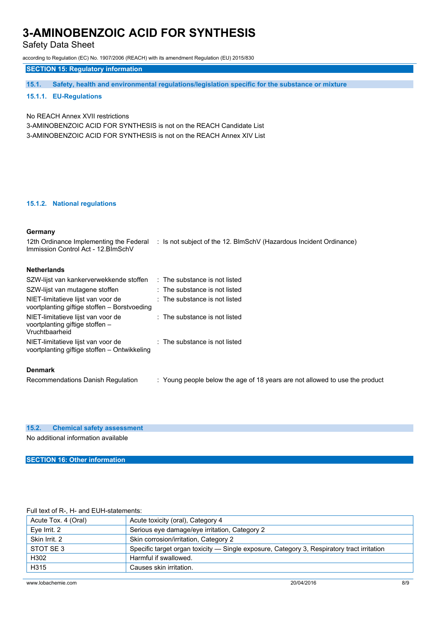Safety Data Sheet

according to Regulation (EC) No. 1907/2006 (REACH) with its amendment Regulation (EU) 2015/830

**SECTION 15: Regulatory information**

**15.1. Safety, health and environmental regulations/legislation specific for the substance or mixture**

### **15.1.1. EU-Regulations**

No REACH Annex XVII restrictions

3-AMINOBENZOIC ACID FOR SYNTHESIS is not on the REACH Candidate List

3-AMINOBENZOIC ACID FOR SYNTHESIS is not on the REACH Annex XIV List

### **15.1.2. National regulations**

### **Germany**

| 12th Ordinance Implementing the Federal<br>Immission Control Act - 12. BlmSchV          | : Is not subject of the 12. BlmSchV (Hazardous Incident Ordinance)          |
|-----------------------------------------------------------------------------------------|-----------------------------------------------------------------------------|
| <b>Netherlands</b>                                                                      |                                                                             |
| SZW-lijst van kankerverwekkende stoffen                                                 | : The substance is not listed                                               |
| SZW-lijst van mutagene stoffen                                                          | : The substance is not listed                                               |
| NIET-limitatieve lijst van voor de<br>voortplanting giftige stoffen – Borstvoeding      | $:$ The substance is not listed                                             |
| NIET-limitatieve lijst van voor de<br>voortplanting giftige stoffen -<br>Vruchtbaarheid | $:$ The substance is not listed                                             |
| NIET-limitatieve lijst van voor de<br>voortplanting giftige stoffen – Ontwikkeling      | : The substance is not listed                                               |
| <b>Denmark</b>                                                                          |                                                                             |
| Recommendations Danish Regulation                                                       | : Young people below the age of 18 years are not allowed to use the product |

|                                     | 15.2. Chemical safety assessment |  |  |
|-------------------------------------|----------------------------------|--|--|
| No additional information available |                                  |  |  |

### **SECTION 16: Other information**

#### Full text of R-, H- and EUH-statements:

| Acute Tox. 4 (Oral) | Acute toxicity (oral), Category 4                                                          |
|---------------------|--------------------------------------------------------------------------------------------|
| Eve Irrit. 2        | Serious eye damage/eye irritation, Category 2                                              |
| Skin Irrit, 2       | Skin corrosion/irritation, Category 2                                                      |
| STOT SE 3           | Specific target organ toxicity — Single exposure, Category 3, Respiratory tract irritation |
| H302                | Harmful if swallowed.                                                                      |
| H315                | Causes skin irritation.                                                                    |